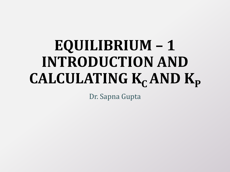# **EQUILIBRIUM – 1 INTRODUCTION AND**   $CALCULATING K<sub>C</sub> AND K<sub>P</sub>$

Dr. Sapna Gupta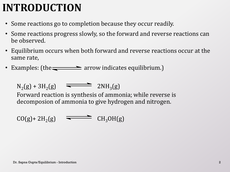### **INTRODUCTION**

- Some reactions go to completion because they occur readily.
- Some reactions progress slowly, so the forward and reverse reactions can be observed.
- Equilibrium occurs when both forward and reverse reactions occur at the same rate,
- Examples: (the  $\equiv$  arrow indicates equilibrium.)

 $N_2(g) + 3H_2(g)$   $\longrightarrow 2NH_3(g)$ 

Forward reaction is synthesis of ammonia; while reverse is decomposion of ammonia to give hydrogen and nitrogen.

 $CO(g) + 2H_2(g)$   $\longrightarrow$   $CH_3OH(g)$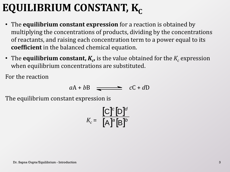# **EQUILIBRIUM CONSTANT, K<sub>c</sub>**

- The **equilibrium constant expression** for a reaction is obtained by multiplying the concentrations of products, dividing by the concentrations of reactants, and raising each concentration term to a power equal to its **coefficient** in the balanced chemical equation.
- The **equilibrium constant,**  $K_c$ **,** is the value obtained for the  $K_c$  expression when equilibrium concentrations are substituted.

For the reaction

$$
aA + bB \quad \longrightarrow \quad cC + dD
$$

The equilibrium constant expression is

$$
K_c = \frac{\left[\text{C}\right]^c \left[\text{D}\right]^d}{\left[\text{A}\right]^a \left[\text{B}\right]^b}
$$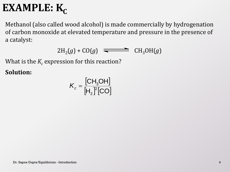# **EXAMPLE:**  $K_c$

Methanol (also called wood alcohol) is made commercially by hydrogenation of carbon monoxide at elevated temperature and pressure in the presence of a catalyst:

$$
2H_2(g) + CO(g) \quad \Longrightarrow \quad CH_3OH(g)
$$

What is the  $K_c$  expression for this reaction?

**Solution:**

$$
K_c = \frac{[CH_3OH]}{[H_2]^2[CO]}
$$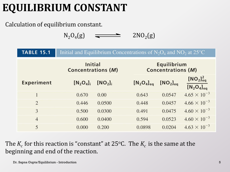# **EQUILIBRIUM CONSTANT**

#### Calculation of equilibrium constant.

 $N_2O_4(g)$   $\longrightarrow$  2NO<sub>2</sub>  $2NO<sub>2</sub>(g)$ 

| <b>TABLE 15.1</b> | Initial and Equilibrium Concentrations of $N_2O_4$ and $NO_2$ at 25 <sup>o</sup> C |                    |                        |                                          |                                          |  |
|-------------------|------------------------------------------------------------------------------------|--------------------|------------------------|------------------------------------------|------------------------------------------|--|
|                   | <b>Initial</b><br><b>Concentrations (M)</b>                                        |                    |                        | Equilibrium<br><b>Concentrations (M)</b> |                                          |  |
| <b>Experiment</b> | $[N_2O_4]_1$                                                                       | [NO <sub>2</sub> ] | $[N_2O_4]_{\text{eq}}$ | $[NO2]$ <sub>eg</sub>                    | $[NO2]$ <sub>eq</sub><br>$[N_2O_4]_{eq}$ |  |
|                   | 0.670                                                                              | 0.00               | 0.643                  | 0.0547                                   | $4.65 \times 10^{-3}$                    |  |
| $\overline{2}$    | 0.446                                                                              | 0.0500             | 0.448                  | 0.0457                                   | $4.66 \times 10^{-3}$                    |  |
| 3                 | 0.500                                                                              | 0.0300             | 0.491                  | 0.0475                                   | $4.60 \times 10^{-3}$                    |  |
| $\overline{4}$    | 0.600                                                                              | 0.0400             | 0.594                  | 0.0523                                   | $4.60 \times 10^{-3}$                    |  |
| 5                 | 0.000                                                                              | 0.200              | 0.0898                 | 0.0204                                   | $4.63 \times 10^{-3}$                    |  |

The  $K_c$  for this reaction is "constant" at 25°C. The  $K_c$  is the same at the beginning and end of the reaction.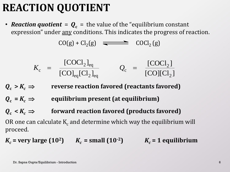# **REACTION QUOTIENT**

• *Reaction quotient* =  $Q_c$  = the value of the "equilibrium constant" expression" under any conditions. This indicates the progress of reaction.

$$
CO(g) + Cl2(g) \quad \longrightarrow \quad COCl2(g)
$$

$$
K_{\rm c} = \frac{[\rm COCl_{2}]_{eq}}{[\rm CO]_{eq}[Cl_{2}]_{eq}} \qquad Q_{\rm c} = \frac{[\rm COCl_{2}]}{[\rm CO][Cl_{2}]}
$$

 $Q_c > K_c \Rightarrow$  reverse reaction favored (reactants favored)

 $Q_c = K_c \implies$  equilibrium present (at equilibrium)

 $Q_c < K_c$   $\Rightarrow$  forward reaction favored (products favored)

OR one can calculate  $K_c$  and determine which way the equilibrium will proceed.

 $K_c$  = very large (10<sup>2</sup>)  $K_c$  = small (10<sup>-2</sup>)  $K_c$  = 1 equilibrium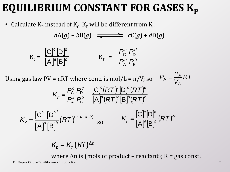### EQUILIBRIUM CONSTANT FOR GASES K<sub>P</sub>

• Calculate  $K_p$  instead of  $K_c$ .  $K_p$  will be different from  $K_c$ .

$$
aA(g) + bB(g) \quad \Longrightarrow \quad cC(g) + dD(g)
$$

$$
K_c = \frac{\begin{bmatrix} C \end{bmatrix}^c \begin{bmatrix} D \end{bmatrix}^d}{\begin{bmatrix} A \end{bmatrix}^a \begin{bmatrix} B \end{bmatrix}^b} \qquad K_P = \frac{P_c^c \ P_D^d}{P_A^a \ P_B^b}
$$

Using gas law  $PV = nRT$  where conc. is mol/L =  $n/V$ ; so *P* A =

$$
P_{\rm A} = \frac{n_{\rm A}}{V_{\rm A}} RT
$$

$$
K_p = \frac{P_{\rm C}^{\rm c} P_{\rm D}^{\rm d}}{P_{\rm A}^{\rm a} P_{\rm B}^{\rm b}} = \frac{[{\rm C}]^{\rm c} (RT)^{\rm c} [{\rm D}]^{\rm d} (RT)^{\rm d}}{[{\rm A}]^{\rm a} (RT)^{\rm a} [{\rm B}]^{\rm b} (RT)^{\rm b}}
$$

$$
K_{p} = \frac{\left[C\right]^{c}\left[D\right]^{d}}{\left[A\right]^{a}\left[B\right]^{b}}\left(RT\right)^{\left(c+d-a-b\right)} \text{ so } K_{p} = \frac{\left[C\right]^{c}\left[D\right]^{d}}{\left[A\right]^{a}\left[B\right]^{b}}\left(RT\right)^{\Delta n}
$$

$$
K_p = K_c (RT)^{\Delta n}
$$

where  $\Delta n$  is (mols of product – reactant); R = gas const.

Dr. Sapna Gupta/Equilibrium - Introduction 7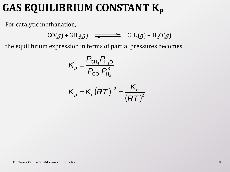### GAS EQUILIBRIUM CONSTANT K<sub>p</sub>

For catalytic methanation,

 $CO(g) + 3H_2(g)$   $\implies$   $CH_4(g) + H_2O(g)$ 

the equilibrium expression in terms of partial pressures becomes

$$
K_p = \frac{P_{\text{CH}_4} P_{\text{H}_2\text{O}}}{P_{\text{CO}} P_{\text{H}_2}^3}
$$

$$
K_p = K_c (RT)^{-2} = \frac{K_c}{(RT)^2}
$$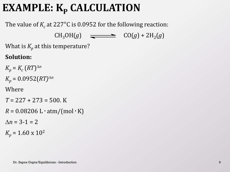# **EXAMPLE: K<sup>P</sup> CALCULATION**

The value of  $K_c$  at 227°C is 0.0952 for the following reaction:

 $CH_3OH(g)$   $\longrightarrow$   $CO(g) + 2H_2(g)$ 

What is  $K_p$  at this temperature?

#### **Solution:**

 $K_p = K_c (RT)^{\Delta n}$  $K_p = 0.0952 (RT)^{\Delta n}$ Where *T* = 227 + 273 = 500. K  $R = 0.08206$  L · atm/(mol · K)  $\Delta n = 3 - 1 = 2$ 

 $K_p = 1.60 \times 10^2$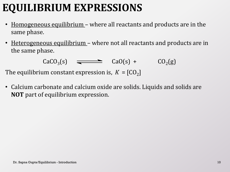# **EQUILIBRIUM EXPRESSIONS**

- Homogeneous equilibrium where all reactants and products are in the same phase.
- Heterogeneous equilibrium where not all reactants and products are in the same phase.

 $CaCO<sub>3</sub>(s)$   $\longrightarrow$   $CaO(s) + CO<sub>2</sub>$  $CO<sub>2</sub>(g)$ 

The equilibrium constant expression is,  $K = [CO<sub>2</sub>]$ 

• Calcium carbonate and calcium oxide are solids. Liquids and solids are **NOT** part of equilibrium expression.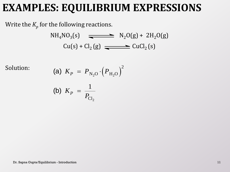#### **EXAMPLES: EQUILIBRIUM EXPRESSIONS**

Write the  $K_p^{\dagger}$  for the following reactions.

$$
NH4NO3(s)
$$
  
\n
$$
Cu(s) + Cl2(g)
$$
  
\n
$$
CuCl2(s)
$$

Solution:

$$
\begin{array}{lll} \text{ (a)} \ \ K_P \ = \ P_{\text{N}_2\text{O}} \cdot \Big( P_{\text{H}_2\text{O}} \Big)^2 \\ & \\ \text{ (b)} \ \ K_P \ = \ \frac{1}{P_{\text{Cl}_2}} \\ & \\ \text{Dr. } \text{Sapna Gupta/Equilibrium - Introduction} \end{array}
$$

(b) 
$$
K_P = \frac{1}{P_{Cl_2}}
$$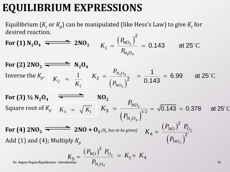#### **EQUILIBRIUM EXPRESSIONS**

desired reaction. 2

Equilibrium (*K<sub>c</sub>* or *K<sub>p</sub>*) can be manipulated (like Hess's Law) to give *K<sub>c</sub>* for  
desired reaction.  
**For (1)** N<sub>2</sub>O<sub>4</sub> 
$$
\longrightarrow
$$
 2NO<sub>2</sub>  $K_1 = \frac{(P_{NO_2})^2}{P_{N_2O_4}} = 0.143$  at 25°C

For (2)  $2NO_2 \longrightarrow N_2O_4$ Inverse the  $K_p$ . For (3)  $\frac{1}{2}N_2O_4$   $\longrightarrow$  NO<sub>2</sub> Square root of *K<sup>p</sup>* **For (4) 2NO<sub>2</sub>**  $\overline{\phantom{25\sqrt{15}}$  **2NO** +  $\overline{\phantom{25\sqrt{15}}\mathbf{O}_2(K_p \text{ has to be given})}$ Add (1) and (4); Multiply *K<sup>p</sup>* Dr. Sapna Gupta/Equilibrium - Introduction  $I_{\rm M~O}$  . The contraction is a set of the contraction in the contraction in the contraction of the contraction in the contraction of the contraction in the contraction in the  $=\frac{1}{0.143} = 6.99$  at 25°C 1  $\frac{1}{6.448}$  = 6.99 at 25°  $(P_{\text{NO}_2})^2$  0.143  $_{2}$ O<sub>4</sub> 2  $N_2O$ NO *P K P*  $\frac{1}{2} = \frac{-N_2 O_4}{(R_1 - N_2)^2}$ 2 1 1  $K_{2}$ *K*  $=$ **NO<sub>2</sub>**<br> $K_3 = \sqrt{K_1}$   $K_3 = \frac{P_{\text{NO}_2}}{(P_{\text{NO}_1})^{1/2}} = \sqrt{0.143} = 0.378$  at 25°C  $(P_{\text{N}_2\text{O}_4})$ 2  ${}_{2}O_{4}$ NO  $N_2O_4\bigg)^{1/2}$ *P K P*  $3 =$  $(P_{\rm NO})^2$  $(P_{\text{NO}_2})$ 2 2  $P_{\text{NO}}^2$   $P_{\text{O}}^2$ NO  $P_{\rm NO}$ )<sup>2</sup>  $P_{\rm C}$ *K P*  $4 = \frac{(N) \cdot 10}{(5)^2}$ 2  $(P_{\rm NO})^2$   $P_{\rm O_2}$  ${}_{2}O_{4}$  $P_{\rm NO}$ )<sup>2</sup>  $P_{\rm O}$  $\overline{N_2O}$  $P_{\rm NO}$ )<sup>2</sup>  $P_{\rm C}$ *K P*  $=$ 2  $K_5 = \frac{(P_{\text{NO}})^2 P_{\text{O}_2}}{P_{\text{O}_2}} = K_1 \times K_4$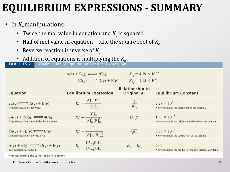#### **EQUILIBRIUM EXPRESSIONS - SUMMARY**

- In  $K_c$  manipulations
	- Twice the mol value in equation and  $K_c$  is squared
	- Half of mol value in equation take the square root of  $K_c$
	- Reverse reaction is inverse of  $K_c$
	- **Addition of equations is multiplying the** *K<sub>c</sub>*<br>**TABLE 15.2** Manipulation of Equilibrium Constant Expressions

 $A(g) + B(g) \rightleftarrows 2C(g)$   $K_{c_1} = 4.39 \times 10^{-3}$ 

 $2C(g) \rightleftarrows D(g) + E(g)$   $K_{c_2} = 1.15 \times 10^4$ 

| Equation                                                                                        | <b>Equilibrium Expression</b>                                | <b>Relationship to</b><br>Original $K_c$ | <b>Equilibrium Constant</b>                                                      |
|-------------------------------------------------------------------------------------------------|--------------------------------------------------------------|------------------------------------------|----------------------------------------------------------------------------------|
| $2C(g) \rightleftharpoons A(g) + B(g)$<br>Original equation is reversed.                        | $K'_{c_1} = \frac{[A]_{eq}[B]_{eq}}{[C]_{eq}^2}$             | $\frac{1}{K_c}$                          | $2.28 \times 10^{2}$<br>New constant is the reciprocal of the original.          |
| $2A(g) + 2B(g) \rightleftharpoons 4C(g)$<br>Original equation is multiplied by a number.        | $K''_{c_1} = \frac{[C]^4_{eq}}{[A]^2_{eq}[B]^2_{eq}}$        | $(K_{c.})^2$                             | $1.93 \times 10^{-5}$<br>New constant is the original raised to the same number. |
| $\frac{1}{2}A(g) + \frac{1}{2}B(g) \rightleftarrows C(g)$<br>Original equation is divided by 2. | $K_{c_1}''' = \frac{[C]_{eq}}{[A]_{eq}^{1/2}[B]_{eq}^{1/2}}$ | $\sqrt{K_c}$                             | $6.63 \times 10^{-2}$<br>New constant is the square root of the original.        |
| $A(g) + B(g) \rightleftharpoons D(g) + E(g)$<br>Two equations are added.                        | $K_{c_3} = \frac{[D]_{eq}[E]_{eq}}{[A]_{eq}[B]_{eq}}$        | $K_{c_1} \times K_{c_2}$                 | 50.5<br>New constant is the product of the two original constants.               |
|                                                                                                 |                                                              |                                          |                                                                                  |

\*Temperature is the same for both reactions.

Dr. Sapna Gupta/Equilibrium - Introduction 13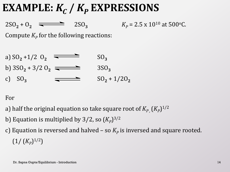### **EXAMPLE:**  $K_c$  /  $K_p$  **EXPRESSIONS**

 $2SO_2 + O_2$   $\equiv$   $2SO_3$   $K_p = 2.5 \times 10^{10}$  at 500<sup>o</sup>C.

Compute  $K_p$  for the following reactions:

a) 
$$
SO_2 + 1/2
$$
  $O_2$    
\nb)  $3SO_2 + 3/2$   $O_2$    
\nc)  $SO_3$    
\n $SO_3$    
\n $SO_2 + 1/2O_2$ 

For

- a) half the original equation so take square root of  $K_{P_{\rho}}(K_{P})^{1/2}$
- b) Equation is multiplied by 3/2, so  $(K_P)^{3/2}$
- c) Equation is reversed and halved so  $K_p$  is inversed and square rooted.  $(1/ (K_p)^{1/2})$